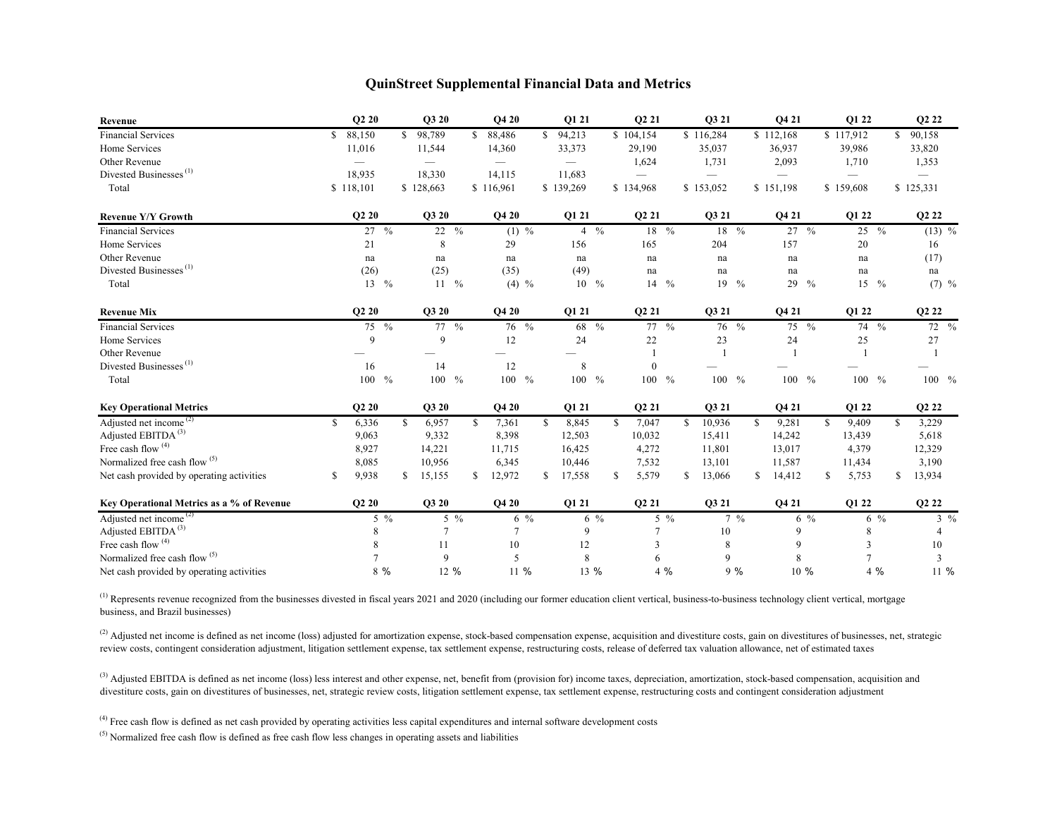## **QuinStreet Supplemental Financial Data and Metrics**

| Revenue                                   |    | Q2 20                         |               | Q3 20            |  | Q4 20                    |                   | Q1 21                    |                  | Q2 21                 |                |              | Q3 21          |      |                | Q4 21               |                  |    | Q1 22            |       | Q2 22                         |                    |
|-------------------------------------------|----|-------------------------------|---------------|------------------|--|--------------------------|-------------------|--------------------------|------------------|-----------------------|----------------|--------------|----------------|------|----------------|---------------------|------------------|----|------------------|-------|-------------------------------|--------------------|
| <b>Financial Services</b>                 | S. | 88,150                        |               | \$98,789         |  | 88,486                   |                   | \$94,213                 |                  | \$104,154             |                | \$116,284    |                |      | \$112,168      |                     |                  |    | \$117,912        |       | 90,158<br>S.                  |                    |
| Home Services                             |    | 11,016                        |               | 11,544           |  | 14,360                   |                   | 33,373                   |                  | 29,190                |                |              | 35,037         |      |                | 36,937              |                  |    | 39,986           |       | 33,820                        |                    |
| Other Revenue                             |    |                               |               |                  |  | $\overline{\phantom{0}}$ |                   | $\overline{\phantom{m}}$ |                  | 1,624                 |                |              | 1,731          |      |                | 2,093               |                  |    | 1,710            |       | 1,353                         |                    |
| Divested Businesses <sup>(1)</sup>        |    | 18,935                        |               | 18,330           |  | 14,115                   |                   | 11,683                   |                  |                       |                |              |                |      |                |                     |                  |    |                  |       |                               |                    |
| Total                                     |    | \$118,101                     |               | \$128,663        |  | \$116,961                |                   | \$139,269                |                  | \$134,968             |                | \$153,052    |                |      | \$151,198      |                     |                  |    | \$159,608        |       | \$125,331                     |                    |
| <b>Revenue Y/Y Growth</b>                 |    | <b>O2 20</b>                  |               | Q3 20            |  | <b>O4 20</b>             |                   | <b>O1 21</b>             |                  | Q2 21                 |                |              | Q3 21          |      |                | Q4 21               |                  |    | Q1 22            |       | Q <sub>2</sub> 2 <sub>2</sub> |                    |
| <b>Financial Services</b>                 |    | $27 \frac{9}{6}$              |               | 22 %             |  |                          | $(1) \frac{9}{6}$ |                          | $4 \frac{6}{6}$  |                       | 18 %           |              |                | 18 % |                |                     | $27 \frac{9}{6}$ |    | $25 \frac{9}{6}$ |       |                               | $(13) \frac{6}{6}$ |
| Home Services                             |    | 21                            |               | 8                |  | 29                       |                   | 156                      |                  | 165                   |                |              | 204            |      |                | 157                 |                  |    | 20               |       |                               | 16                 |
| Other Revenue                             |    | na                            |               | na               |  | na                       |                   | na                       |                  | na                    |                |              | na             |      |                | na                  |                  |    | na               |       |                               | (17)               |
| Divested Businesses <sup>(1)</sup>        |    | (26)                          |               | (25)             |  | (35)                     |                   | (49)                     |                  | $\operatorname{na}$   |                |              | na             |      |                | $\operatorname{na}$ |                  |    | na               |       |                               | na                 |
| Total                                     |    | $13 \frac{9}{6}$              |               | $11 \frac{9}{6}$ |  |                          | $(4)$ %           |                          | $10 \frac{9}{6}$ |                       | 14 %           |              |                | 19 % |                |                     | 29 %             |    | $15 - \%$        |       |                               | $(7)$ %            |
| <b>Revenue Mix</b>                        |    | Q <sub>2</sub> 2 <sub>0</sub> |               | Q3 20            |  | Q4 20                    |                   | Q1 21                    |                  | Q2 21                 |                |              | Q3 21          |      |                | Q4 21               |                  |    | Q1 22            |       | Q <sub>2</sub> 2 <sub>2</sub> |                    |
| <b>Financial Services</b>                 |    | 75 %                          |               | 77 %             |  |                          | 76 %              |                          | 68 %             |                       | $77 - \%$      |              |                | 76 % |                |                     | 75 %             |    | 74 %             |       |                               | 72 %               |
| Home Services                             |    | 9                             |               | 9                |  | 12                       |                   | 24                       |                  | 22                    |                |              | 23             |      |                | 24                  |                  |    | 25               |       |                               | 27                 |
| Other Revenue                             |    |                               |               |                  |  |                          |                   |                          |                  |                       |                |              |                |      |                |                     |                  |    |                  |       |                               |                    |
| Divested Businesses <sup>(1)</sup>        |    | 16                            |               | 14               |  | 12                       |                   | 8                        |                  | $\mathbf{0}$          |                |              |                |      |                |                     |                  |    |                  |       |                               |                    |
| Total                                     |    | 100 %                         |               | 100 %            |  |                          | $100 - %$         | 100 %                    |                  | 100 %                 |                |              | $100 - %$      |      |                | $100 - %$           |                  |    | 100 %            |       |                               | $100\%$            |
| <b>Key Operational Metrics</b>            |    | <b>O2 20</b>                  |               | Q3 20            |  | <b>O4 20</b>             |                   | <b>O1 21</b>             |                  | Q2 21                 |                |              | O3 21          |      |                | Q4 21               |                  |    | Q1 22            |       | Q2 22                         |                    |
| Adjusted net income <sup>(2)</sup>        |    | 6,336                         | <sup>\$</sup> | 6,957            |  | 7,361<br>S.              |                   | 8,845<br>S.              |                  | $\mathbb{S}$<br>7,047 |                | $\mathbb{S}$ | 10,936         |      | $\mathbb{S}$   | 9,281               |                  | \$ | 9,409            |       | <sup>\$</sup><br>3,229        |                    |
| Adjusted EBITDA <sup>(3)</sup>            |    | 9,063                         |               | 9,332            |  | 8,398                    |                   | 12,503                   |                  | 10,032                |                |              | 15,411         |      |                | 14,242              |                  |    | 13,439           |       | 5,618                         |                    |
| Free cash flow <sup>(4)</sup>             |    | 8,927                         |               | 14,221           |  | 11,715                   |                   | 16,425                   |                  | 4,272                 |                |              | 11,801         |      |                | 13,017              |                  |    | 4,379            |       | 12,329                        |                    |
| Normalized free cash flow $(5)$           |    | 8,085                         |               | 10,956           |  | 6,345                    |                   | 10,446                   |                  | 7,532                 |                |              | 13,101         |      |                | 11,587              |                  |    | 11,434           |       | 3,190                         |                    |
| Net cash provided by operating activities | S  | 9,938                         | S.            | 15,155           |  | 12,972<br>S.             |                   | 17,558<br>\$             |                  | 5,579<br>S.           |                | S.           | 13,066         |      | \$             | 14,412              |                  | S  | 5,753            |       | 13,934<br>S                   |                    |
| Key Operational Metrics as a % of Revenue |    | Q <sub>2</sub> 2 <sub>0</sub> |               | Q3 20            |  | <b>O4 20</b>             |                   | Q1 21                    |                  | Q2 21                 |                |              | Q3 21          |      |                | Q4 21               |                  |    | Q1 22            |       | Q <sub>2</sub> 2 <sub>2</sub> |                    |
| Adjusted net income <sup>(2)</sup>        |    | $5\frac{9}{6}$                |               | $5\frac{9}{6}$   |  | $6\frac{9}{6}$           |                   |                          | $6\frac{9}{6}$   |                       | $5\frac{9}{6}$ |              | $7\frac{9}{6}$ |      | $6\frac{9}{6}$ |                     | $6\frac{9}{6}$   |    | $3\frac{9}{6}$   |       |                               |                    |
| Adjusted EBITDA <sup>(3)</sup>            |    | 8                             |               | $\overline{7}$   |  |                          |                   | 9                        |                  | $\overline{7}$        |                |              | 10             |      |                | 9                   |                  |    | 8                |       |                               | 4                  |
| Free cash flow <sup>(4)</sup>             |    | 8                             |               | 11               |  | 10                       |                   | 12                       |                  | 3                     |                |              | 8              |      |                | 9                   |                  |    | 3                |       |                               | 10                 |
| Normalized free cash flow <sup>(5)</sup>  |    |                               |               | 9                |  | 5                        |                   |                          | 8                |                       | 6              |              |                | 9    |                |                     |                  |    |                  |       |                               |                    |
| Net cash provided by operating activities |    | 8 %                           |               | 12 %             |  | 11 %                     |                   |                          | 13 %             |                       | 4 %            |              |                | 9%   |                |                     | 10 %             |    |                  | $4\%$ |                               |                    |

 $^{(1)}$  Represents revenue recognized from the businesses divested in fiscal years 2021 and 2020 (including our former education client vertical, business-to-business technology client vertical, mortgage business, and Brazil businesses)

<sup>(2)</sup> Adjusted net income is defined as net income (loss) adjusted for amortization expense, stock-based compensation expense, acquisition and divestiture costs, gain on divestitures of businesses, net, strategic review costs, contingent consideration adjustment, litigation settlement expense, tax settlement expense, restructuring costs, release of deferred tax valuation allowance, net of estimated taxes

<sup>(3)</sup> Adjusted EBITDA is defined as net income (loss) less interest and other expense, net, benefit from (provision for) income taxes, depreciation, amortization, stock-based compensation, acquisition and divestiture costs, gain on divestitures of businesses, net, strategic review costs, litigation settlement expense, tax settlement expense, restructuring costs and contingent consideration adjustment

 $^{(4)}$  Free cash flow is defined as net cash provided by operating activities less capital expenditures and internal software development costs

 $(5)$  Normalized free cash flow is defined as free cash flow less changes in operating assets and liabilities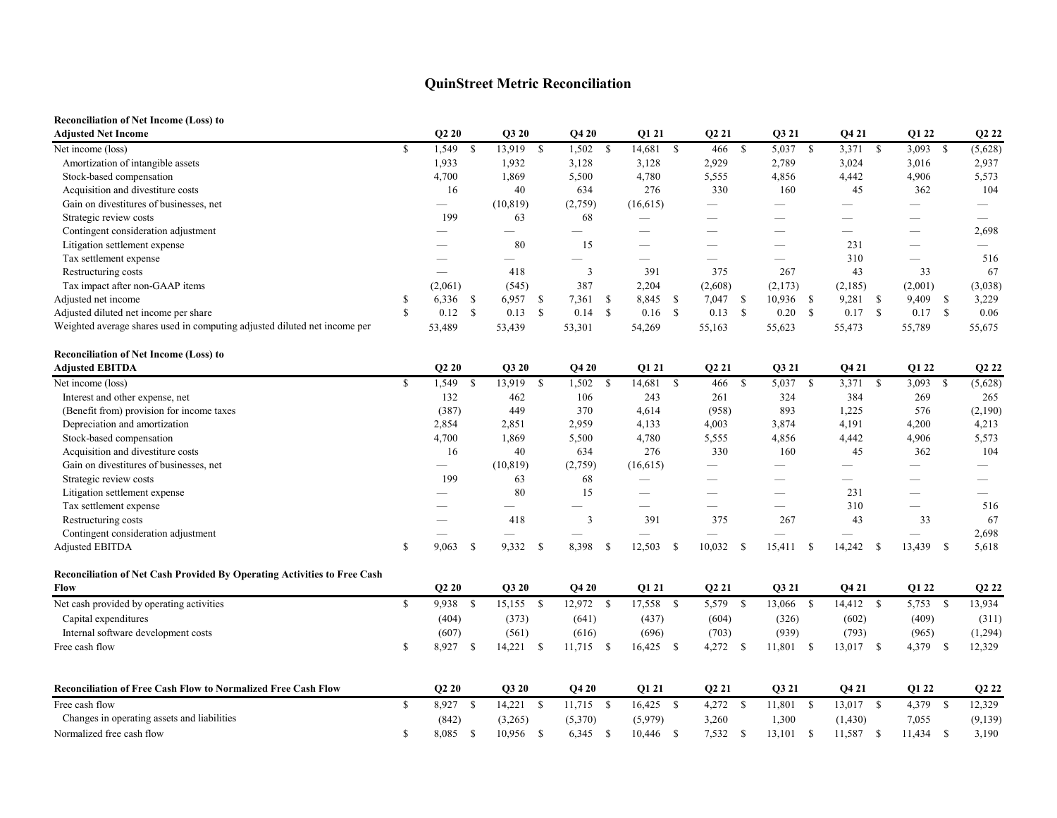## **QuinStreet Metric Reconciliation**

## **Reconciliation of Net Income (Loss) to**

| <b>Adjusted Net Income</b>                                                |               | Q2 20                    |               | Q3 20       |     | Q4 20                         |      | Q1 21        |               | Q2 21                    |      | Q3 21                    |      | Q4 21                    |               | Q1 22     |               | Q2 22                    |
|---------------------------------------------------------------------------|---------------|--------------------------|---------------|-------------|-----|-------------------------------|------|--------------|---------------|--------------------------|------|--------------------------|------|--------------------------|---------------|-----------|---------------|--------------------------|
| Net income (loss)                                                         | <sup>\$</sup> | 1,549                    | <sup>\$</sup> | 13,919 \$   |     | $1,502$ \$                    |      | 14,681       | \$            | 466                      | - \$ | 5,037 \$                 |      | 3,371                    | <sup>\$</sup> | 3,093     | <sup>\$</sup> | (5,628)                  |
| Amortization of intangible assets                                         |               | 1,933                    |               | 1,932       |     | 3,128                         |      | 3,128        |               | 2,929                    |      | 2,789                    |      | 3,024                    |               | 3,016     |               | 2,937                    |
| Stock-based compensation                                                  |               | 4,700                    |               | 1,869       |     | 5,500                         |      | 4,780        |               | 5,555                    |      | 4,856                    |      | 4,442                    |               | 4,906     |               | 5,573                    |
| Acquisition and divestiture costs                                         |               | 16                       |               | 40          |     | 634                           |      | 276          |               | 330                      |      | 160                      |      | 45                       |               | 362       |               | 104                      |
| Gain on divestitures of businesses, net                                   |               | $\overline{\phantom{0}}$ |               | (10, 819)   |     | (2,759)                       |      | (16,615)     |               |                          |      |                          |      |                          |               |           |               |                          |
| Strategic review costs                                                    |               | 199                      |               | 63          |     | 68                            |      |              |               |                          |      |                          |      |                          |               |           |               | $\overline{\phantom{0}}$ |
| Contingent consideration adjustment                                       |               |                          |               |             |     | $\overbrace{\phantom{12333}}$ |      |              |               |                          |      | $\overline{\phantom{0}}$ |      |                          |               |           |               | 2,698                    |
| Litigation settlement expense                                             |               |                          |               | 80          |     | 15                            |      |              |               |                          |      | $\overline{\phantom{0}}$ |      | 231                      |               |           |               |                          |
| Tax settlement expense                                                    |               |                          |               |             |     |                               |      |              |               |                          |      |                          |      | 310                      |               |           |               | 516                      |
| Restructuring costs                                                       |               |                          |               | 418         |     | $\overline{3}$                |      | 391          |               | 375                      |      | 267                      |      | 43                       |               | 33        |               | 67                       |
| Tax impact after non-GAAP items                                           |               | (2,061)                  |               | (545)       |     | 387                           |      | 2,204        |               | (2,608)                  |      | (2,173)                  |      | (2,185)                  |               | (2,001)   |               | (3,038)                  |
| Adjusted net income                                                       | \$            | 6,336                    | - \$          | 6,957 \$    |     | 7,361 \$                      |      | 8,845        | <sup>\$</sup> | $7,047$ \$               |      | $10,936$ \$              |      | 9,281                    | -\$           | 9,409     | - \$          | 3,229                    |
| Adjusted diluted net income per share                                     | $\mathbf{s}$  | 0.12                     | $\mathsf{\$}$ | $0.13$ \$   |     | $0.14$ \$                     |      | 0.16         | $\mathbb{S}$  | $0.13$ \$                |      | $0.20\,$ \$              |      | 0.17 S                   |               | $0.17$ \$ |               | 0.06                     |
| Weighted average shares used in computing adjusted diluted net income per |               | 53,489                   |               | 53,439      |     | 53,301                        |      | 54,269       |               | 55,163                   |      | 55,623                   |      | 55,473                   |               | 55,789    |               | 55,675                   |
| <b>Reconciliation of Net Income (Loss) to</b>                             |               |                          |               |             |     |                               |      |              |               |                          |      |                          |      |                          |               |           |               |                          |
| <b>Adjusted EBITDA</b>                                                    |               | Q2 20                    |               | Q3 20       |     | Q4 20                         |      | Q1 21        |               | Q <sub>2</sub> 21        |      | Q3 21                    |      | Q4 21                    |               | Q1 22     |               | Q2 22                    |
| Net income (loss)                                                         | $\mathcal{S}$ | 1,549                    | $\mathbb{S}$  | 13,919 \$   |     | $1,502$ \$                    |      | 14,681       | <sup>S</sup>  | 466                      | - \$ | 5,037 \$                 |      | 3,371                    | <sup>\$</sup> | 3,093     | <sup>\$</sup> | (5,628)                  |
| Interest and other expense, net                                           |               | 132                      |               | 462         |     | 106                           |      | 243          |               | 261                      |      | 324                      |      | 384                      |               | 269       |               | 265                      |
| (Benefit from) provision for income taxes                                 |               | (387)                    |               | 449         |     | 370                           |      | 4,614        |               | (958)                    |      | 893                      |      | 1,225                    |               | 576       |               | (2,190)                  |
| Depreciation and amortization                                             |               | 2,854                    |               | 2,851       |     | 2,959                         |      | 4,133        |               | 4,003                    |      | 3,874                    |      | 4,191                    |               | 4,200     |               | 4,213                    |
| Stock-based compensation                                                  |               | 4,700                    |               | 1,869       |     | 5,500                         |      | 4,780        |               | 5,555                    |      | 4,856                    |      | 4,442                    |               | 4,906     |               | 5,573                    |
| Acquisition and divestiture costs                                         |               | 16                       |               | 40          |     | 634                           |      | 276          |               | 330                      |      | 160                      |      | 45                       |               | 362       |               | 104                      |
| Gain on divestitures of businesses, net                                   |               |                          |               | (10, 819)   |     | (2,759)                       |      | (16,615)     |               | $\overline{\phantom{0}}$ |      | $\overline{\phantom{0}}$ |      | $\overline{\phantom{0}}$ |               |           |               | $\overline{\phantom{0}}$ |
| Strategic review costs                                                    |               | 199                      |               | 63          |     | 68                            |      |              |               |                          |      |                          |      |                          |               |           |               |                          |
| Litigation settlement expense                                             |               |                          |               | 80          |     | 15                            |      |              |               |                          |      |                          |      | 231                      |               |           |               |                          |
| Tax settlement expense                                                    |               |                          |               |             |     |                               |      |              |               | $\overline{\phantom{0}}$ |      | $\overline{\phantom{0}}$ |      | 310                      |               |           |               | 516                      |
| Restructuring costs                                                       |               |                          |               | 418         |     | 3                             |      | 391          |               | 375                      |      | 267                      |      | 43                       |               | 33        |               | 67                       |
| Contingent consideration adjustment                                       |               |                          |               |             |     |                               |      |              |               |                          |      |                          |      |                          |               |           |               | 2,698                    |
| Adjusted EBITDA                                                           | <sup>\$</sup> | 9,063                    | -S            | 9,332       | -\$ | 8,398 \$                      |      | 12,503       | -S            | 10,032                   | - \$ | 15,411                   | - \$ | 14,242                   | $\mathbf{s}$  | 13,439 \$ |               | 5,618                    |
| Reconciliation of Net Cash Provided By Operating Activities to Free Cash  |               |                          |               |             |     |                               |      |              |               |                          |      |                          |      |                          |               |           |               |                          |
| Flow                                                                      |               | <b>O2 20</b>             |               | Q3 20       |     | Q420                          |      | Q1 21        |               | Q <sub>2</sub> 21        |      | Q3 21                    |      | Q4 21                    |               | Q1 22     |               | Q2 22                    |
| Net cash provided by operating activities                                 | \$            | 9,938                    | $\mathbb{S}$  | $15,155$ \$ |     | 12,972 \$                     |      | 17,558       | <b>S</b>      | 5,579 \$                 |      | 13,066 \$                |      | 14,412 \$                |               | 5,753 \$  |               | 13,934                   |
| Capital expenditures                                                      |               | (404)                    |               | (373)       |     | (641)                         |      | (437)        |               | (604)                    |      | (326)                    |      | (602)                    |               | (409)     |               | (311)                    |
| Internal software development costs                                       |               | (607)                    |               | (561)       |     | (616)                         |      | (696)        |               | (703)                    |      | (939)                    |      | (793)                    |               | (965)     |               | (1,294)                  |
| Free cash flow                                                            | \$            | 8,927 \$                 |               | $14,221$ \$ |     | $11,715$ \$                   |      | $16,425$ \$  |               | 4,272 \$                 |      | 11,801 \$                |      | 13,017 \$                |               | 4,379 \$  |               | 12,329                   |
| <b>Reconciliation of Free Cash Flow to Normalized Free Cash Flow</b>      |               | <b>O2 20</b>             |               | Q3 20       |     | Q4 20                         |      | <b>O1 21</b> |               | Q2 21                    |      | Q3 21                    |      | Q4 21                    |               | Q1 22     |               | Q2 22                    |
| Free cash flow                                                            | <sup>\$</sup> | 8,927 \$                 |               | $14,221$ \$ |     | $11,715$ \$                   |      | $16,425$ \$  |               | 4,272 \$                 |      | 11,801 \$                |      | 13,017 \$                |               | 4,379 \$  |               | 12,329                   |
| Changes in operating assets and liabilities                               |               | (842)                    |               | (3,265)     |     | (5,370)                       |      | (5,979)      |               | 3,260                    |      | 1,300                    |      | (1, 430)                 |               | 7,055     |               | (9, 139)                 |
|                                                                           | \$            |                          |               |             |     |                               |      |              |               |                          |      |                          |      |                          | -S            |           | <sup>\$</sup> |                          |
| Normalized free cash flow                                                 |               | 8,085 \$                 |               | 10,956      | -S  | 6,345                         | - \$ | 10,446 \$    |               | $7,532$ \$               |      | 13,101                   | -S   | 11,587                   |               | 11,434    |               | 3,190                    |